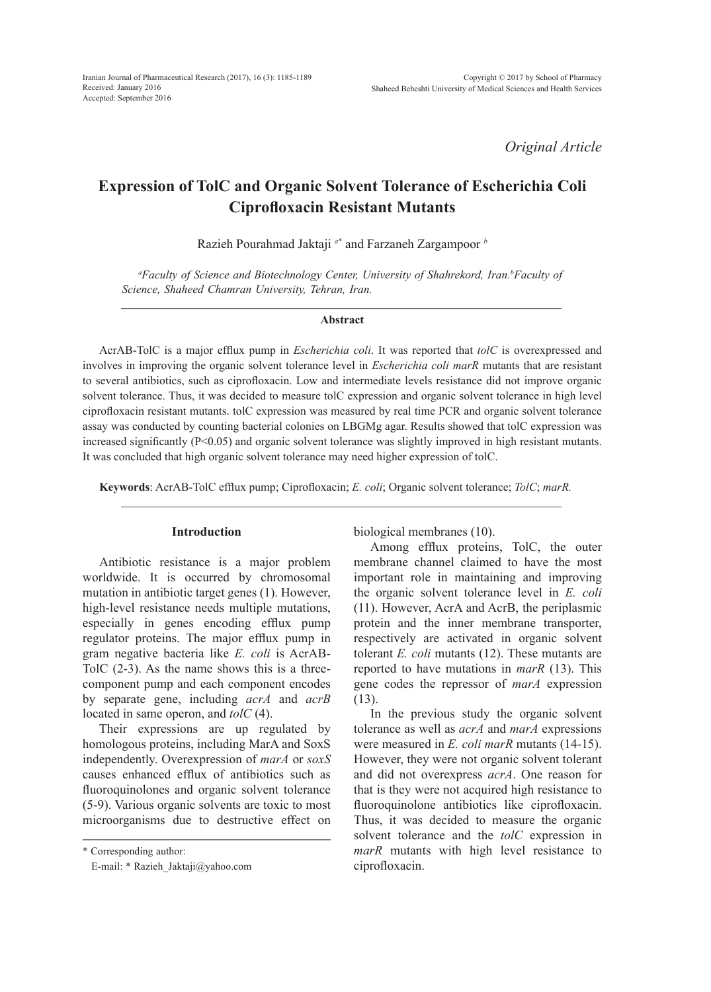*Original Article*

# **Expression of TolC and Organic Solvent Tolerance of Escherichia Coli Ciprofloxacin Resistant Mutants**

Razieh Pourahmad Jaktaji *<sup>a</sup>*\* and Farzaneh Zargampoor *<sup>b</sup>*

<sup>*a*</sup> Faculty of Science and Biotechnology Center, University of Shahrekord, Iran.<sup>b</sup> Faculty of *Science, Shaheed Chamran University, Tehran, Iran.*

#### **Abstract**

AcrAB-TolC is a major efflux pump in *Escherichia coli*. It was reported that *tolC* is overexpressed and involves in improving the organic solvent tolerance level in *Escherichia coli marR* mutants that are resistant to several antibiotics, such as ciprofloxacin. Low and intermediate levels resistance did not improve organic solvent tolerance. Thus, it was decided to measure tolC expression and organic solvent tolerance in high level ciprofloxacin resistant mutants. tolC expression was measured by real time PCR and organic solvent tolerance assay was conducted by counting bacterial colonies on LBGMg agar. Results showed that tolC expression was increased significantly (P<0.05) and organic solvent tolerance was slightly improved in high resistant mutants. It was concluded that high organic solvent tolerance may need higher expression of tolC.

**Keywords**: AcrAB-TolC efflux pump; Ciprofloxacin; *E. coli*; Organic solvent tolerance; *TolC*; *marR.*

#### **Introduction**

Antibiotic resistance is a major problem worldwide. It is occurred by chromosomal mutation in antibiotic target genes (1). However, high-level resistance needs multiple mutations, especially in genes encoding efflux pump regulator proteins. The major efflux pump in gram negative bacteria like *E. coli* is AcrAB-TolC (2-3). As the name shows this is a threecomponent pump and each component encodes by separate gene, including *acrA* and *acrB* located in same operon, and *tolC* (4).

Their expressions are up regulated by homologous proteins, including MarA and SoxS independently. Overexpression of *marA* or *soxS* causes enhanced efflux of antibiotics such as fluoroquinolones and organic solvent tolerance (5-9). Various organic solvents are toxic to most microorganisms due to destructive effect on

\* Corresponding author:

E-mail: \* Razieh\_Jaktaji@yahoo.com

biological membranes (10).

Among efflux proteins, TolC, the outer membrane channel claimed to have the most important role in maintaining and improving the organic solvent tolerance level in *E. coli* (11). However, AcrA and AcrB, the periplasmic protein and the inner membrane transporter, respectively are activated in organic solvent tolerant *E. coli* mutants (12). These mutants are reported to have mutations in *marR* (13). This gene codes the repressor of *marA* expression (13).

In the previous study the organic solvent tolerance as well as *acrA* and *marA* expressions were measured in *E. coli marR* mutants (14-15). However, they were not organic solvent tolerant and did not overexpress *acrA*. One reason for that is they were not acquired high resistance to fluoroquinolone antibiotics like ciprofloxacin. Thus, it was decided to measure the organic solvent tolerance and the *tolC* expression in *marR* mutants with high level resistance to ciprofloxacin.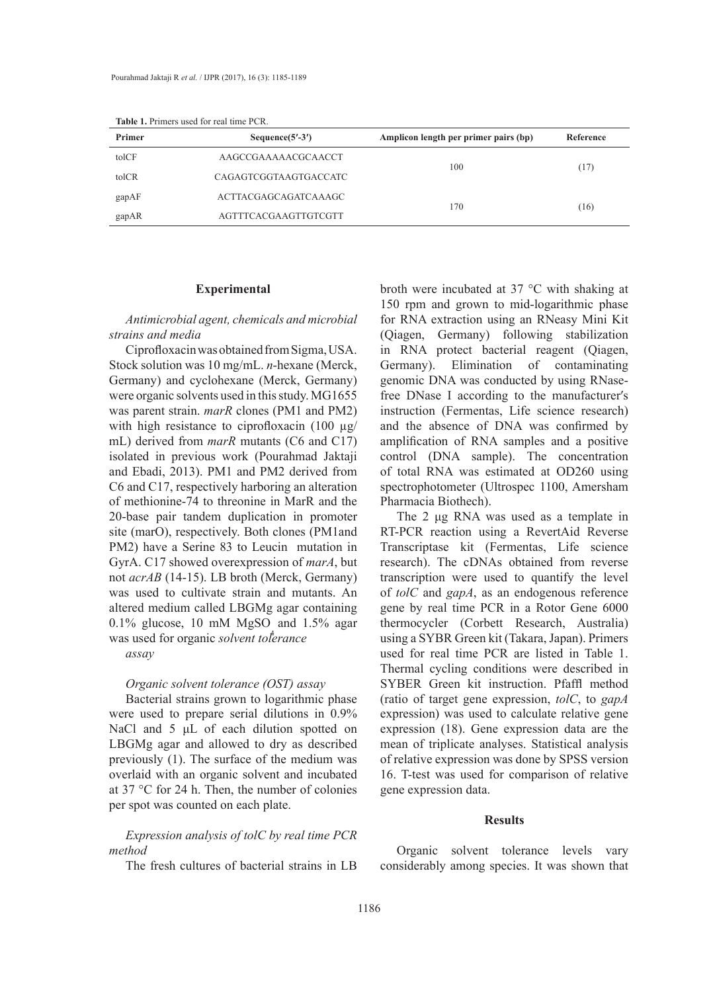| Primer | <b>TADIC 1.</b> I HIRTS GOOD TOT TOM HIRE I CTV.<br>Sequence $(5'$ -3') | Amplicon length per primer pairs (bp) | Reference |
|--------|-------------------------------------------------------------------------|---------------------------------------|-----------|
| tolCF  | AAGCCGAAAAACGCAACCT                                                     | 100                                   |           |
| tolCR  | CAGAGTCGGTAAGTGACCATC                                                   |                                       | (17)      |
| gapAF  | ACTTACGAGCAGATCAAAGC                                                    | 170                                   | (16)      |
| gapAR  | AGTTTCACGAAGTTGTCGTT                                                    |                                       |           |

**Table 1.** Primers used for real time PCR.

#### **Experimental**

*Antimicrobial agent, chemicals and microbial strains and media*

Ciprofloxacin was obtained from Sigma, USA. Stock solution was 10 mg/mL. *n*-hexane (Merck, Germany) and cyclohexane (Merck, Germany) were organic solvents used in this study. MG1655 was parent strain. *marR* clones (PM1 and PM2) with high resistance to ciprofloxacin (100  $\mu$ g/ mL) derived from *marR* mutants (C6 and C17) isolated in previous work (Pourahmad Jaktaji and Ebadi, 2013). PM1 and PM2 derived from C6 and C17, respectively harboring an alteration of methionine-74 to threonine in MarR and the 20-base pair tandem duplication in promoter site (marO), respectively. Both clones (PM1and PM2) have a Serine 83 to Leucin mutation in GyrA. C17 showed overexpression of *marA*, but not *acrAB* (14-15). LB broth (Merck, Germany) was used to cultivate strain and mutants. An altered medium called LBGMg agar containing 0.1% glucose, 10 mM MgSO and 1.5% agar<br>was used for anomia as well to favores was used for organic *solvent tolerance* 

*assay*

### *Organic solvent tolerance (OST) assay*

Bacterial strains grown to logarithmic phase were used to prepare serial dilutions in 0.9% NaCl and 5 μL of each dilution spotted on LBGMg agar and allowed to dry as described previously (1). The surface of the medium was overlaid with an organic solvent and incubated at 37 °C for 24 h. Then, the number of colonies per spot was counted on each plate.

## *Expression analysis of tolC by real time PCR method*

The fresh cultures of bacterial strains in LB

broth were incubated at 37 °C with shaking at 150 rpm and grown to mid-logarithmic phase for RNA extraction using an RNeasy Mini Kit (Qiagen, Germany) following stabilization in RNA protect bacterial reagent (Qiagen, Germany). Elimination of contaminating genomic DNA was conducted by using RNasefree DNase I according to the manufacturerʹs instruction (Fermentas, Life science research) and the absence of DNA was confirmed by amplification of RNA samples and a positive control (DNA sample). The concentration of total RNA was estimated at OD260 using spectrophotometer (Ultrospec 1100, Amersham Pharmacia Biothech).

The 2 μg RNA was used as a template in RT-PCR reaction using a RevertAid Reverse Transcriptase kit (Fermentas, Life science research). The cDNAs obtained from reverse transcription were used to quantify the level of *tolC* and *gapA*, as an endogenous reference gene by real time PCR in a Rotor Gene 6000 thermocycler (Corbett Research, Australia) using a SYBR Green kit (Takara, Japan). Primers used for real time PCR are listed in Table 1. Thermal cycling conditions were described in SYBER Green kit instruction. Pfaffl method (ratio of target gene expression, *tolC*, to *gapA*  expression) was used to calculate relative gene expression (18). Gene expression data are the mean of triplicate analyses. Statistical analysis of relative expression was done by SPSS version 16. T-test was used for comparison of relative gene expression data.

#### **Results**

Organic solvent tolerance levels vary considerably among species. It was shown that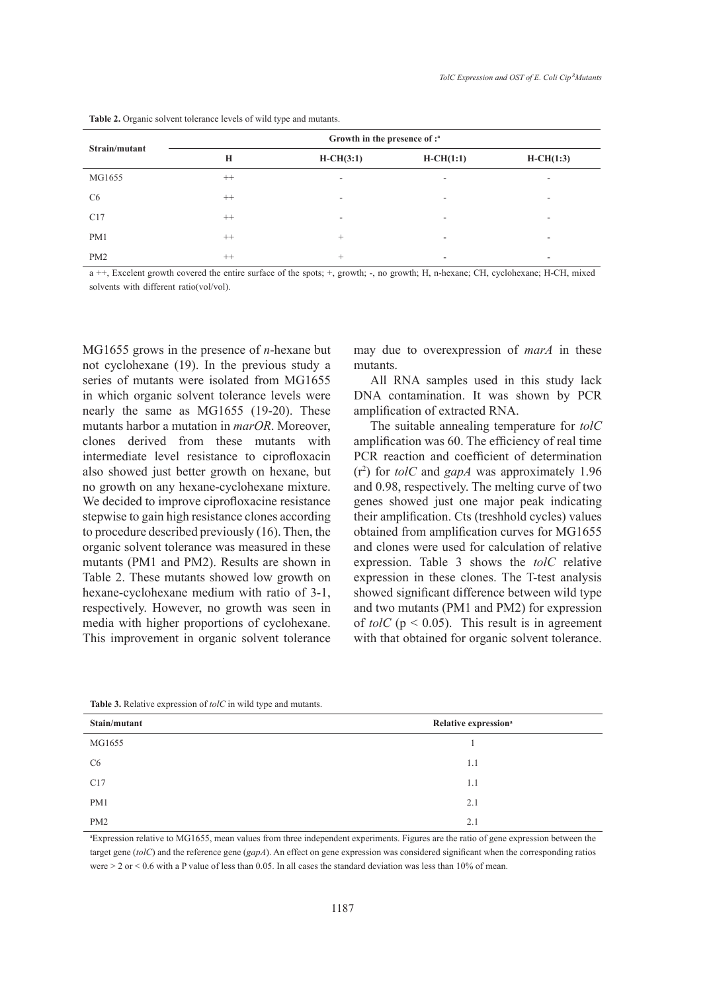|                | Growth in the presence of : <sup>a</sup> |             |                          |                          |
|----------------|------------------------------------------|-------------|--------------------------|--------------------------|
| Strain/mutant  | H                                        | $H-CH(3:1)$ | $H-CH(1:1)$              | $H-CH(1:3)$              |
| MG1655         | $++$                                     | ٠           | $\overline{\phantom{a}}$ | $\overline{\phantom{a}}$ |
| C <sub>6</sub> | $^{++}$                                  | ۰           | $\overline{\phantom{a}}$ | ۰                        |
| C17            | $++$                                     | ٠           | $\overline{\phantom{a}}$ | $\overline{\phantom{a}}$ |
| PM1            | $^{++}$                                  | $^{+}$      | $\overline{\phantom{a}}$ | ۰                        |
| PM2            | $^{++}$                                  | +           | $\overline{\phantom{a}}$ | ۰                        |

**Table 2.** Organic solvent tolerance levels of wild type and mutants.

a ++, Excelent growth covered the entire surface of the spots; +, growth; -, no growth; H, n-hexane; CH, cyclohexane; H-CH, mixed solvents with different ratio(vol/vol).

MG1655 grows in the presence of *n*-hexane but not cyclohexane (19). In the previous study a series of mutants were isolated from MG1655 in which organic solvent tolerance levels were nearly the same as MG1655 (19-20). These mutants harbor a mutation in *marOR*. Moreover, clones derived from these mutants with intermediate level resistance to ciprofloxacin also showed just better growth on hexane, but no growth on any hexane-cyclohexane mixture. We decided to improve ciprofloxacine resistance stepwise to gain high resistance clones according to procedure described previously (16). Then, the organic solvent tolerance was measured in these mutants (PM1 and PM2). Results are shown in Table 2. These mutants showed low growth on hexane-cyclohexane medium with ratio of 3-1, respectively. However, no growth was seen in media with higher proportions of cyclohexane. This improvement in organic solvent tolerance may due to overexpression of *marA* in these mutants.

All RNA samples used in this study lack DNA contamination. It was shown by PCR amplification of extracted RNA.

The suitable annealing temperature for *tolC* amplification was 60. The efficiency of real time PCR reaction and coefficient of determination (r2 ) for *tolC* and *gapA* was approximately 1.96 and 0.98, respectively. The melting curve of two genes showed just one major peak indicating their amplification. Cts (treshhold cycles) values obtained from amplification curves for MG1655 and clones were used for calculation of relative expression. Table 3 shows the *tolC* relative expression in these clones. The T-test analysis showed significant difference between wild type and two mutants (PM1 and PM2) for expression of *tolC* ( $p < 0.05$ ). This result is in agreement with that obtained for organic solvent tolerance.

| Stain/mutant   | Relative expression <sup>a</sup> |  |
|----------------|----------------------------------|--|
| MG1655         |                                  |  |
| C <sub>6</sub> | 1.1                              |  |
| C17            | 1.1                              |  |
| PM1            | 2.1                              |  |
| PM2            | 2.1                              |  |

**Table 3.** Relative expression of *tolC* in wild type and mutants.

a Expression relative to MG1655, mean values from three independent experiments. Figures are the ratio of gene expression between the target gene (*tolC*) and the reference gene (*gapA*). An effect on gene expression was considered significant when the corresponding ratios were  $> 2$  or  $< 0.6$  with a P value of less than 0.05. In all cases the standard deviation was less than 10% of mean.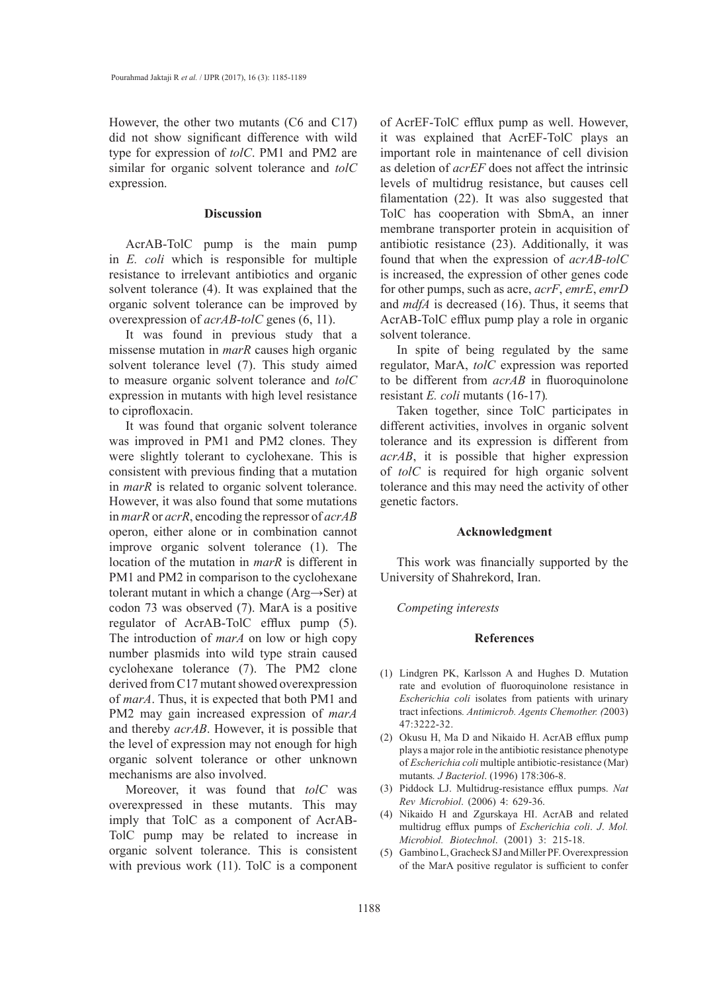However, the other two mutants (C6 and C17) did not show significant difference with wild type for expression of *tolC*. PM1 and PM2 are similar for organic solvent tolerance and *tolC* expression.

#### **Discussion**

AcrAB-TolC pump is the main pump in *E. coli* which is responsible for multiple resistance to irrelevant antibiotics and organic solvent tolerance (4). It was explained that the organic solvent tolerance can be improved by overexpression of *acrAB*-*tolC* genes (6, 11).

It was found in previous study that a missense mutation in *marR* causes high organic solvent tolerance level (7). This study aimed to measure organic solvent tolerance and *tolC* expression in mutants with high level resistance to ciprofloxacin.

It was found that organic solvent tolerance was improved in PM1 and PM2 clones. They were slightly tolerant to cyclohexane. This is consistent with previous finding that a mutation in *marR* is related to organic solvent tolerance. However, it was also found that some mutations in *marR* or *acrR*, encoding the repressor of *acrAB* operon, either alone or in combination cannot improve organic solvent tolerance (1). The location of the mutation in *marR* is different in PM1 and PM2 in comparison to the cyclohexane tolerant mutant in which a change (Arg→Ser) at codon 73 was observed (7). MarA is a positive regulator of AcrAB-TolC efflux pump (5). The introduction of *marA* on low or high copy number plasmids into wild type strain caused cyclohexane tolerance (7). The PM2 clone derived from C17 mutant showed overexpression of *marA*. Thus, it is expected that both PM1 and PM2 may gain increased expression of *marA* and thereby *acrAB*. However, it is possible that the level of expression may not enough for high organic solvent tolerance or other unknown mechanisms are also involved.

Moreover, it was found that *tolC* was overexpressed in these mutants. This may imply that TolC as a component of AcrAB-TolC pump may be related to increase in organic solvent tolerance. This is consistent with previous work (11). TolC is a component of AcrEF-TolC efflux pump as well. However, it was explained that AcrEF-TolC plays an important role in maintenance of cell division as deletion of *acrEF* does not affect the intrinsic levels of multidrug resistance, but causes cell filamentation (22). It was also suggested that TolC has cooperation with SbmA, an inner membrane transporter protein in acquisition of antibiotic resistance (23). Additionally, it was found that when the expression of *acrAB-tolC* is increased, the expression of other genes code for other pumps, such as acre, *acrF*, *emrE*, *emrD* and *mdfA* is decreased (16). Thus, it seems that AcrAB-TolC efflux pump play a role in organic solvent tolerance.

In spite of being regulated by the same regulator, MarA, *tolC* expression was reported to be different from *acrAB* in fluoroquinolone resistant *E. coli* mutants (16-17)*.* 

Taken together, since TolC participates in different activities, involves in organic solvent tolerance and its expression is different from *acrAB*, it is possible that higher expression of *tolC* is required for high organic solvent tolerance and this may need the activity of other genetic factors.

#### **Acknowledgment**

This work was financially supported by the University of Shahrekord, Iran.

#### *Competing interests*

#### **References**

- (1) Lindgren PK, Karlsson A and Hughes D. Mutation rate and evolution of fluoroquinolone resistance in *Escherichia coli* isolates from patients with urinary tract infections*. Antimicrob. Agents Chemother. (*2003) 47:3222-32.
- (2) Okusu H, Ma D and Nikaido H. AcrAB efflux pump plays a major role in the antibiotic resistance phenotype of *Escherichia coli* multiple antibiotic-resistance (Mar) mutants*. J Bacteriol*. (1996) 178:306-8.
- Piddock LJ. Multidrug-resistance efflux pumps. *Nat*  (3) *Rev Microbiol*. (2006) 4: 629-36.
- (4) Nikaido H and Zgurskaya HI. AcrAB and related multidrug efflux pumps of *Escherichia coli*. *J*. *Mol. Microbiol. Biotechnol*. (2001) 3: 215-18.
- Gambino L, Gracheck SJ and Miller PF. Overexpression (5)of the MarA positive regulator is sufficient to confer